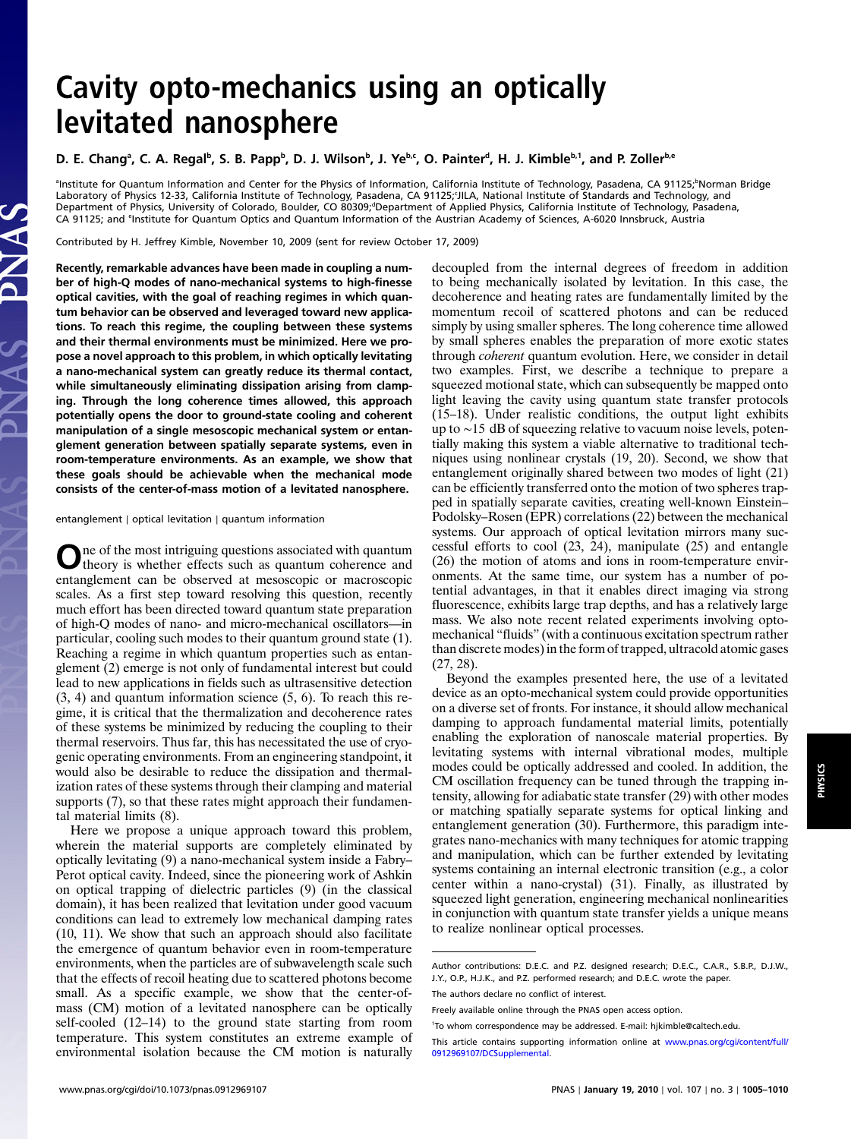# Cavity opto-mechanics using an optically levitated nanosphere

## D. E. Chang<sup>a</sup>, C. A. Regal<sup>b</sup>, S. B. Papp<sup>b</sup>, D. J. Wilson<sup>b</sup>, J. Yebc, O. Painter<sup>d</sup>, H. J. Kimble<sup>b,1</sup>, and P. Zoller<sup>b,e</sup>

lnstitute for Quantum Information and Center for the Physics of Information, California Institute of Technology, Pasadena, CA 91125; Norman Bridge الصورة Laboratory of Physics 12-33, California Institute of Technology, Pasadena, CA 91125;'JILA, National Institute of Standards and Technology, and<br>Department of Physics, University of Colorado, Boulder, CO 80309;"Department of CA 91125; and <sup>e</sup>Institute for Quantum Optics and Quantum Information of the Austrian Academy of Sciences, A-6020 Innsbruck, Austria

Contributed by H. Jeffrey Kimble, November 10, 2009 (sent for review October 17, 2009)

Recently, remarkable advances have been made in coupling a number of high-Q modes of nano-mechanical systems to high-finesse optical cavities, with the goal of reaching regimes in which quantum behavior can be observed and leveraged toward new applications. To reach this regime, the coupling between these systems and their thermal environments must be minimized. Here we propose a novel approach to this problem, in which optically levitating a nano-mechanical system can greatly reduce its thermal contact, while simultaneously eliminating dissipation arising from clamping. Through the long coherence times allowed, this approach potentially opens the door to ground-state cooling and coherent manipulation of a single mesoscopic mechanical system or entanglement generation between spatially separate systems, even in room-temperature environments. As an example, we show that these goals should be achievable when the mechanical mode consists of the center-of-mass motion of a levitated nanosphere.

entanglement ∣ optical levitation ∣ quantum information

One of the most intriguing questions associated with quantum<br>theory is whether effects such as quantum coherence and entanglement can be observed at mesoscopic or macroscopic scales. As a first step toward resolving this question, recently much effort has been directed toward quantum state preparation of high-Q modes of nano- and micro-mechanical oscillators—in particular, cooling such modes to their quantum ground state (1). Reaching a regime in which quantum properties such as entanglement (2) emerge is not only of fundamental interest but could lead to new applications in fields such as ultrasensitive detection (3, 4) and quantum information science (5, 6). To reach this regime, it is critical that the thermalization and decoherence rates of these systems be minimized by reducing the coupling to their thermal reservoirs. Thus far, this has necessitated the use of cryogenic operating environments. From an engineering standpoint, it would also be desirable to reduce the dissipation and thermalization rates of these systems through their clamping and material supports (7), so that these rates might approach their fundamental material limits (8).

Here we propose a unique approach toward this problem, wherein the material supports are completely eliminated by optically levitating (9) a nano-mechanical system inside a Fabry– Perot optical cavity. Indeed, since the pioneering work of Ashkin on optical trapping of dielectric particles (9) (in the classical domain), it has been realized that levitation under good vacuum conditions can lead to extremely low mechanical damping rates (10, 11). We show that such an approach should also facilitate the emergence of quantum behavior even in room-temperature environments, when the particles are of subwavelength scale such that the effects of recoil heating due to scattered photons become small. As a specific example, we show that the center-ofmass (CM) motion of a levitated nanosphere can be optically self-cooled (12–14) to the ground state starting from room temperature. This system constitutes an extreme example of environmental isolation because the CM motion is naturally decoupled from the internal degrees of freedom in addition to being mechanically isolated by levitation. In this case, the decoherence and heating rates are fundamentally limited by the momentum recoil of scattered photons and can be reduced simply by using smaller spheres. The long coherence time allowed by small spheres enables the preparation of more exotic states through coherent quantum evolution. Here, we consider in detail two examples. First, we describe a technique to prepare a squeezed motional state, which can subsequently be mapped onto light leaving the cavity using quantum state transfer protocols (15–18). Under realistic conditions, the output light exhibits up to ∼15 dB of squeezing relative to vacuum noise levels, potentially making this system a viable alternative to traditional techniques using nonlinear crystals (19, 20). Second, we show that entanglement originally shared between two modes of light (21) can be efficiently transferred onto the motion of two spheres trapped in spatially separate cavities, creating well-known Einstein– Podolsky–Rosen (EPR) correlations (22) between the mechanical systems. Our approach of optical levitation mirrors many successful efforts to cool (23, 24), manipulate (25) and entangle (26) the motion of atoms and ions in room-temperature environments. At the same time, our system has a number of potential advantages, in that it enables direct imaging via strong fluorescence, exhibits large trap depths, and has a relatively large mass. We also note recent related experiments involving optomechanical "fluids" (with a continuous excitation spectrum rather than discrete modes) in the form of trapped, ultracold atomic gases (27, 28).

Beyond the examples presented here, the use of a levitated device as an opto-mechanical system could provide opportunities on a diverse set of fronts. For instance, it should allow mechanical damping to approach fundamental material limits, potentially enabling the exploration of nanoscale material properties. By levitating systems with internal vibrational modes, multiple modes could be optically addressed and cooled. In addition, the CM oscillation frequency can be tuned through the trapping intensity, allowing for adiabatic state transfer (29) with other modes or matching spatially separate systems for optical linking and entanglement generation (30). Furthermore, this paradigm integrates nano-mechanics with many techniques for atomic trapping and manipulation, which can be further extended by levitating systems containing an internal electronic transition (e.g., a color center within a nano-crystal) (31). Finally, as illustrated by squeezed light generation, engineering mechanical nonlinearities in conjunction with quantum state transfer yields a unique means to realize nonlinear optical processes.

Author contributions: D.E.C. and P.Z. designed research; D.E.C., C.A.R., S.B.P., D.J.W., J.Y., O.P., H.J.K., and P.Z. performed research; and D.E.C. wrote the paper.

The authors declare no conflict of interest.

Freely available online through the PNAS open access option.

<sup>1</sup> To whom correspondence may be addressed. E-mail: hjkimble@caltech.edu.

This article contains supporting information online at [www.pnas.org/cgi/content/full/](http://www.pnas.org/cgi/content/full/0912969107/DCSupplemental) [0912969107/DCSupplemental.](http://www.pnas.org/cgi/content/full/0912969107/DCSupplemental)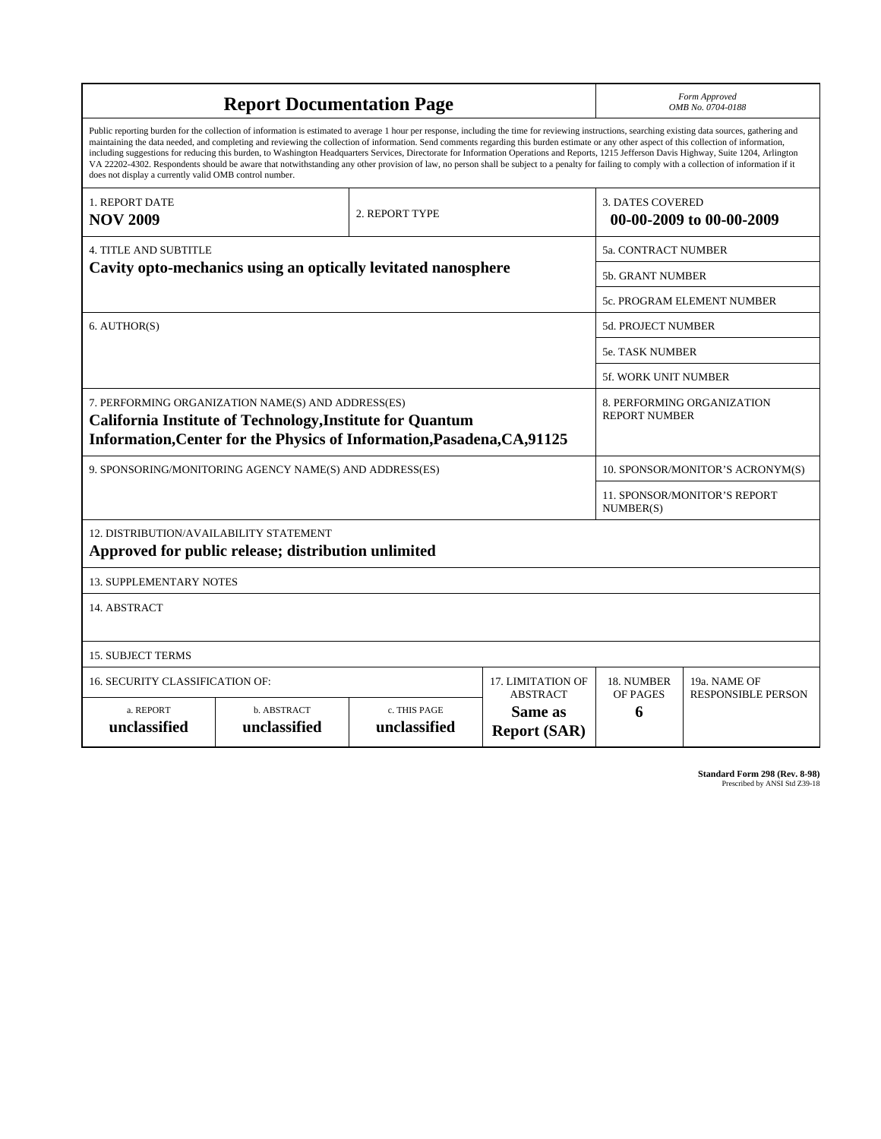|                                                                                                                                                                                                                                                                                                                                                                                                                                                                                                                                                                                                                                                                                                                                                                                                                                                                    | Form Approved<br>OMB No. 0704-0188                      |                              |                                                   |                                                     |                           |  |  |  |  |
|--------------------------------------------------------------------------------------------------------------------------------------------------------------------------------------------------------------------------------------------------------------------------------------------------------------------------------------------------------------------------------------------------------------------------------------------------------------------------------------------------------------------------------------------------------------------------------------------------------------------------------------------------------------------------------------------------------------------------------------------------------------------------------------------------------------------------------------------------------------------|---------------------------------------------------------|------------------------------|---------------------------------------------------|-----------------------------------------------------|---------------------------|--|--|--|--|
| Public reporting burden for the collection of information is estimated to average 1 hour per response, including the time for reviewing instructions, searching existing data sources, gathering and<br>maintaining the data needed, and completing and reviewing the collection of information. Send comments regarding this burden estimate or any other aspect of this collection of information,<br>including suggestions for reducing this burden, to Washington Headquarters Services, Directorate for Information Operations and Reports, 1215 Jefferson Davis Highway, Suite 1204, Arlington<br>VA 22202-4302. Respondents should be aware that notwithstanding any other provision of law, no person shall be subject to a penalty for failing to comply with a collection of information if it<br>does not display a currently valid OMB control number. |                                                         |                              |                                                   |                                                     |                           |  |  |  |  |
| 1. REPORT DATE<br><b>NOV 2009</b>                                                                                                                                                                                                                                                                                                                                                                                                                                                                                                                                                                                                                                                                                                                                                                                                                                  |                                                         | 2. REPORT TYPE               |                                                   | <b>3. DATES COVERED</b><br>00-00-2009 to 00-00-2009 |                           |  |  |  |  |
| <b>4. TITLE AND SUBTITLE</b>                                                                                                                                                                                                                                                                                                                                                                                                                                                                                                                                                                                                                                                                                                                                                                                                                                       | <b>5a. CONTRACT NUMBER</b>                              |                              |                                                   |                                                     |                           |  |  |  |  |
| Cavity opto-mechanics using an optically levitated nanosphere                                                                                                                                                                                                                                                                                                                                                                                                                                                                                                                                                                                                                                                                                                                                                                                                      | <b>5b. GRANT NUMBER</b>                                 |                              |                                                   |                                                     |                           |  |  |  |  |
|                                                                                                                                                                                                                                                                                                                                                                                                                                                                                                                                                                                                                                                                                                                                                                                                                                                                    | 5c. PROGRAM ELEMENT NUMBER                              |                              |                                                   |                                                     |                           |  |  |  |  |
| 6. AUTHOR(S)                                                                                                                                                                                                                                                                                                                                                                                                                                                                                                                                                                                                                                                                                                                                                                                                                                                       |                                                         |                              |                                                   |                                                     | <b>5d. PROJECT NUMBER</b> |  |  |  |  |
|                                                                                                                                                                                                                                                                                                                                                                                                                                                                                                                                                                                                                                                                                                                                                                                                                                                                    |                                                         |                              |                                                   |                                                     | <b>5e. TASK NUMBER</b>    |  |  |  |  |
|                                                                                                                                                                                                                                                                                                                                                                                                                                                                                                                                                                                                                                                                                                                                                                                                                                                                    | 5f. WORK UNIT NUMBER                                    |                              |                                                   |                                                     |                           |  |  |  |  |
| 7. PERFORMING ORGANIZATION NAME(S) AND ADDRESS(ES)<br><b>California Institute of Technology, Institute for Quantum</b><br>Information, Center for the Physics of Information, Pasadena, CA, 91125                                                                                                                                                                                                                                                                                                                                                                                                                                                                                                                                                                                                                                                                  | 8. PERFORMING ORGANIZATION<br><b>REPORT NUMBER</b>      |                              |                                                   |                                                     |                           |  |  |  |  |
|                                                                                                                                                                                                                                                                                                                                                                                                                                                                                                                                                                                                                                                                                                                                                                                                                                                                    | 9. SPONSORING/MONITORING AGENCY NAME(S) AND ADDRESS(ES) |                              |                                                   | 10. SPONSOR/MONITOR'S ACRONYM(S)                    |                           |  |  |  |  |
|                                                                                                                                                                                                                                                                                                                                                                                                                                                                                                                                                                                                                                                                                                                                                                                                                                                                    | 11. SPONSOR/MONITOR'S REPORT<br>NUMBER(S)               |                              |                                                   |                                                     |                           |  |  |  |  |
| 12. DISTRIBUTION/AVAILABILITY STATEMENT<br>Approved for public release; distribution unlimited                                                                                                                                                                                                                                                                                                                                                                                                                                                                                                                                                                                                                                                                                                                                                                     |                                                         |                              |                                                   |                                                     |                           |  |  |  |  |
| <b>13. SUPPLEMENTARY NOTES</b>                                                                                                                                                                                                                                                                                                                                                                                                                                                                                                                                                                                                                                                                                                                                                                                                                                     |                                                         |                              |                                                   |                                                     |                           |  |  |  |  |
| 14. ABSTRACT                                                                                                                                                                                                                                                                                                                                                                                                                                                                                                                                                                                                                                                                                                                                                                                                                                                       |                                                         |                              |                                                   |                                                     |                           |  |  |  |  |
| <b>15. SUBJECT TERMS</b>                                                                                                                                                                                                                                                                                                                                                                                                                                                                                                                                                                                                                                                                                                                                                                                                                                           |                                                         |                              |                                                   |                                                     |                           |  |  |  |  |
| 16. SECURITY CLASSIFICATION OF:                                                                                                                                                                                                                                                                                                                                                                                                                                                                                                                                                                                                                                                                                                                                                                                                                                    |                                                         | 17. LIMITATION OF            | 18. NUMBER                                        | 19a. NAME OF                                        |                           |  |  |  |  |
| a. REPORT<br>unclassified                                                                                                                                                                                                                                                                                                                                                                                                                                                                                                                                                                                                                                                                                                                                                                                                                                          | b. ABSTRACT<br>unclassified                             | c. THIS PAGE<br>unclassified | <b>ABSTRACT</b><br>Same as<br><b>Report (SAR)</b> | OF PAGES<br>6                                       | <b>RESPONSIBLE PERSON</b> |  |  |  |  |

**Standard Form 298 (Rev. 8-98)**<br>Prescribed by ANSI Std Z39-18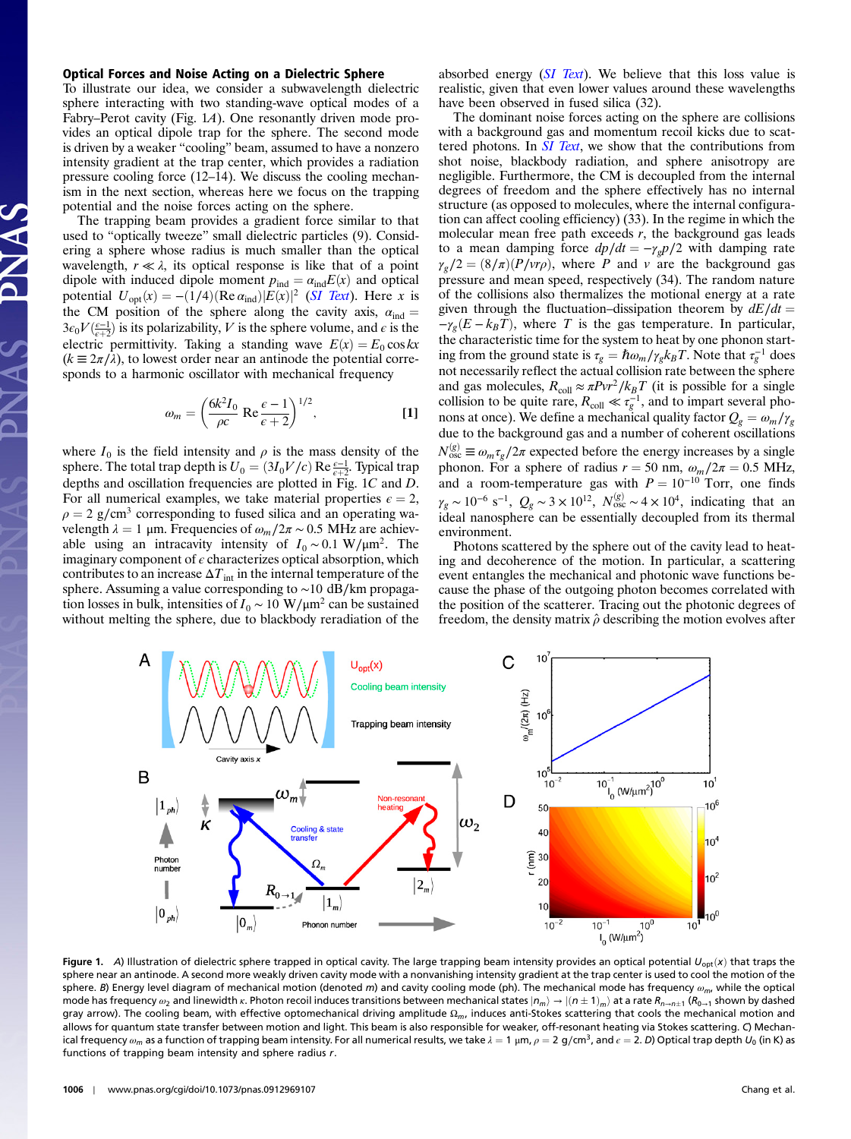#### Optical Forces and Noise Acting on a Dielectric Sphere

To illustrate our idea, we consider a subwavelength dielectric sphere interacting with two standing-wave optical modes of a Fabry–Perot cavity (Fig. 1A). One resonantly driven mode provides an optical dipole trap for the sphere. The second mode is driven by a weaker "cooling" beam, assumed to have a nonzero intensity gradient at the trap center, which provides a radiation pressure cooling force (12–14). We discuss the cooling mechanism in the next section, whereas here we focus on the trapping potential and the noise forces acting on the sphere.

The trapping beam provides a gradient force similar to that used to "optically tweeze" small dielectric particles (9). Considering a sphere whose radius is much smaller than the optical wavelength,  $r \ll \lambda$ , its optical response is like that of a point dipole with induced dipole moment  $p_{ind} = \alpha_{ind}E(x)$  and optical potential  $U_{\text{opt}}(x) = -(1/4)(\text{Re}\,\alpha_{\text{ind}})|E(x)|^2$  (*[SI Text](http://www.pnas.org/cgi/data/0912969107/DCSupplemental/Supplemental_PDF#nameddest=STXT)*). Here x is the CM position of the sphere along the cavity axis,  $\alpha_{ind} =$  $3\epsilon_0 V(\frac{\epsilon-1}{\epsilon+2})$  is its polarizability, V is the sphere volume, and  $\epsilon$  is the electric permittivity. Taking a standing wave  $E(x) = E_0 \cos kx$  $(k \equiv 2\pi/\lambda)$ , to lowest order near an antinode the potential corresponds to a harmonic oscillator with mechanical frequency

$$
\omega_m = \left(\frac{6k^2I_0}{\rho c} \operatorname{Re}\frac{\epsilon - 1}{\epsilon + 2}\right)^{1/2},\tag{1}
$$

where  $I_0$  is the field intensity and  $\rho$  is the mass density of the sphere. The total trap depth is  $U_0 = (3I_0V/c)$  Re  $\frac{\epsilon-1}{\epsilon+2}$ . Typical trap depths and oscillation frequencies are plotted in Fig. 1C and D. For all numerical examples, we take material properties  $\epsilon = 2$ ,  $\rho = 2$  g/cm<sup>3</sup> corresponding to fused silica and an operating wavelength  $λ = 1$  μm. Frequencies of  $ω<sub>m</sub>/2π ~ 0.5$  MHz are achievable using an intracavity intensity of  $I_0 \sim 0.1 \text{ W}/\mu\text{m}^2$ . The imaginary component of  $\epsilon$  characterizes optical absorption, which contributes to an increase  $\Delta T_{\text{int}}$  in the internal temperature of the sphere. Assuming a value corresponding to ∼10 dB∕km propagation losses in bulk, intensities of  $I_0 \sim 10 \text{ W}/\mu\text{m}^2$  can be sustained without melting the sphere, due to blackbody reradiation of the

absorbed energy  $(SI \text{ Text})$ . We believe that this loss value is realistic, given that even lower values around these wavelengths have been observed in fused silica (32).

The dominant noise forces acting on the sphere are collisions with a background gas and momentum recoil kicks due to scattered photons. In *[SI Text](http://www.pnas.org/cgi/data/0912969107/DCSupplemental/Supplemental_PDF#nameddest=STXT)*, we show that the contributions from shot noise, blackbody radiation, and sphere anisotropy are negligible. Furthermore, the CM is decoupled from the internal degrees of freedom and the sphere effectively has no internal structure (as opposed to molecules, where the internal configuration can affect cooling efficiency) (33). In the regime in which the molecular mean free path exceeds  $r$ , the background gas leads to a mean damping force  $dp/dt = -\gamma_g p/2$  with damping rate  $\gamma_{\varrho}/2 = (8/\pi)(P/vr\rho)$ , where P and v are the background gas pressure and mean speed, respectively (34). The random nature of the collisions also thermalizes the motional energy at a rate given through the fluctuation–dissipation theorem by  $dE/dt =$  $-\gamma_g(E - k_B T)$ , where T is the gas temperature. In particular, the characteristic time for the system to heat by one phonon starting from the ground state is  $\tau_g = \hbar \omega_m / \gamma_g k_B T$ . Note that  $\tau_g^{-1}$  does not necessarily reflect the actual collision rate between the sphere and gas molecules,  $R_{\text{coll}} \approx \pi P v r^2 / k_B T$  (it is possible for a single collision to be quite rare,  $R_{\text{coll}} \ll \tau_g^{-1}$ , and to impart several phonons at once). We define a mechanical quality factor  $Q_g = \omega_m / \gamma_g$ due to the background gas and a number of coherent oscillations  $N_{\text{osc}}^{(g)} \equiv \omega_m \tau_g / 2\pi$  expected before the energy increases by a single phonon. For a sphere of radius  $r = 50$  nm,  $\omega_m/2\pi = 0.5$  MHz, and a room-temperature gas with  $P = 10^{-10}$  Torr, one finds  $\gamma_g \sim 10^{-6} \text{ s}^{-1}$ ,  $Q_g \sim 3 \times 10^{12}$ ,  $N_{osc}^{(g)} \sim 4 \times 10^4$ , indicating that an ideal nanosphere can be essentially decoupled from its thermal environment.

Photons scattered by the sphere out of the cavity lead to heating and decoherence of the motion. In particular, a scattering event entangles the mechanical and photonic wave functions because the phase of the outgoing photon becomes correlated with the position of the scatterer. Tracing out the photonic degrees of freedom, the density matrix  $\hat{\rho}$  describing the motion evolves after



Figure 1. A) Illustration of dielectric sphere trapped in optical cavity. The large trapping beam intensity provides an optical potential  $U_{\text{opt}}(x)$  that traps the sphere near an antinode. A second more weakly driven cavity mode with a nonvanishing intensity gradient at the trap center is used to cool the motion of the sphere. B) Energy level diagram of mechanical motion (denoted m) and cavity cooling mode (ph). The mechanical mode has frequency  $\omega_{m}$ , while the optical mode has frequency  $\omega_2$  and linewidth *κ*. Photon recoil induces transitions between mechanical states  $|n_m\rangle \rightarrow |(n\pm 1)_m\rangle$  at a rate  $R_{n\to n\pm 1}$  ( $R_{0\to 1}$  shown by dashed gray arrow). The cooling beam, with effective optomechanical driving amplitude  $\Omega_m$ , induces anti-Stokes scattering that cools the mechanical motion and allows for quantum state transfer between motion and light. This beam is also responsible for weaker, off-resonant heating via Stokes scattering. C) Mechanical frequency  $\omega_m$  as a function of trapping beam intensity. For all numerical results, we take  $\lambda = 1 \mu m$ ,  $\rho = 2 \frac{g}{cm^3}$ , and  $\epsilon = 2$ . D) Optical trap depth  $U_0$  (in K) as functions of trapping beam intensity and sphere radius r.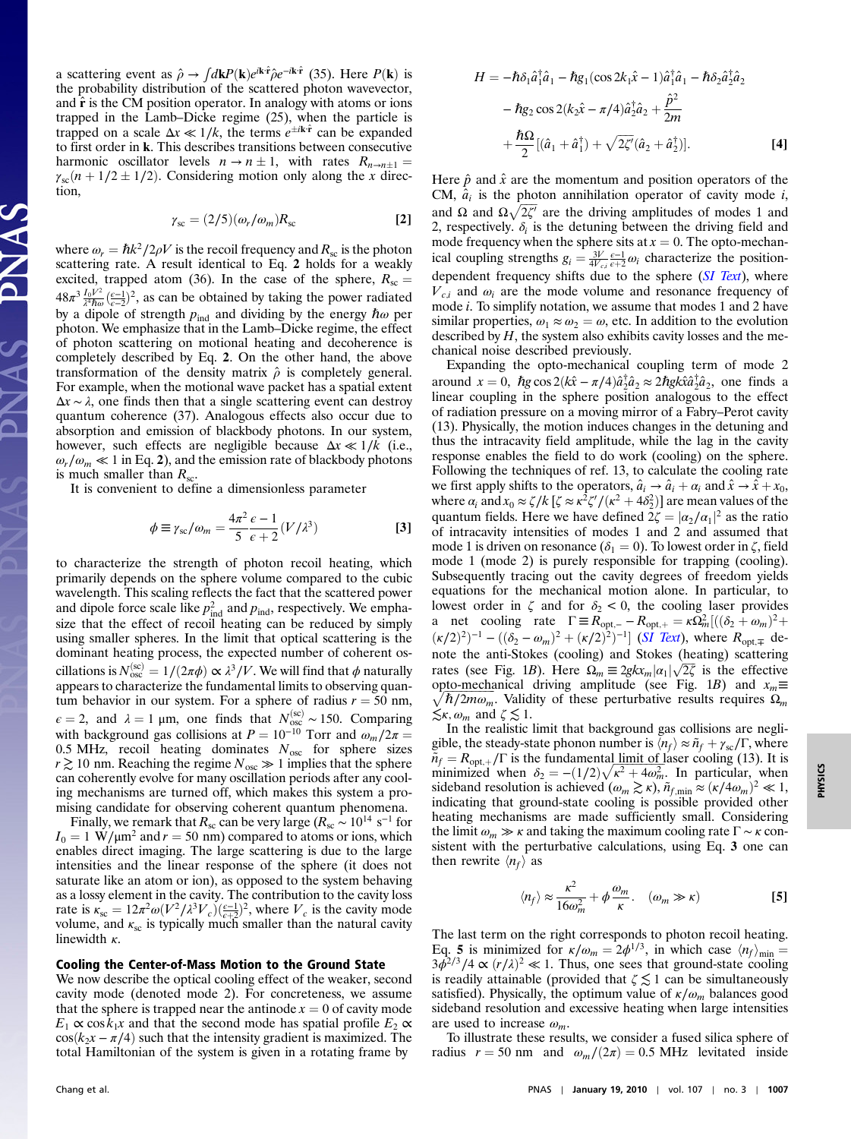a scattering event as  $\hat{\rho} \to \int d\mathbf{k} P(\mathbf{k})e^{i\mathbf{k}\cdot\hat{\mathbf{r}}}\hat{\rho}e^{-i\mathbf{k}\cdot\hat{\mathbf{r}}}$  (35). Here  $P(\mathbf{k})$  is the probability distribution of the scattered photon wavevector, and  $\hat{\mathbf{r}}$  is the CM position operator. In analogy with atoms or ions trapped in the Lamb–Dicke regime (25), when the particle is trapped on a scale  $\Delta x \ll 1/k$ , the terms  $e^{\pm i\mathbf{k}\cdot\hat{\mathbf{r}}}$  can be expanded to first order in k. This describes transitions between consecutive harmonic oscillator levels  $n \to n \pm 1$ , with rates  $R_{n \to n+1} =$  $\gamma_{\rm sc}(n + 1/2 \pm 1/2)$ . Considering motion only along the x direction,

$$
\gamma_{\rm sc} = (2/5)(\omega_r/\omega_m)R_{\rm sc} \tag{2}
$$

where  $\omega_r = \hbar k^2 / 2\rho V$  is the recoil frequency and  $R_{\rm sc}$  is the photon scattering rate. A result identical to Eq. 2 holds for a weakly excited, trapped atom (36). In the case of the sphere,  $R_{\rm sc}$  =  $48\pi^3 \frac{I_0 V^2}{\lambda^4 \hbar \omega} \frac{(\epsilon - 1)}{(\epsilon - 2)}$ , as can be obtained by taking the power radiated by a dipole of strength  $p_{ind}$  and dividing by the energy  $\hbar \omega$  per photon. We emphasize that in the Lamb–Dicke regime, the effect of photon scattering on motional heating and decoherence is completely described by Eq. 2. On the other hand, the above transformation of the density matrix  $\hat{\rho}$  is completely general. For example, when the motional wave packet has a spatial extent  $\Delta x \sim \lambda$ , one finds then that a single scattering event can destroy quantum coherence (37). Analogous effects also occur due to absorption and emission of blackbody photons. In our system, however, such effects are negligible because  $\Delta x \ll 1/k$  (i.e.,  $\omega_r/\omega_m \ll 1$  in Eq. 2), and the emission rate of blackbody photons is much smaller than  $R_{sc}$ .

It is convenient to define a dimensionless parameter

$$
\phi \equiv \gamma_{\rm sc} / \omega_m = \frac{4\pi^2 \epsilon - 1}{5 \epsilon + 2} (V/\lambda^3)
$$
 [3]

to characterize the strength of photon recoil heating, which primarily depends on the sphere volume compared to the cubic wavelength. This scaling reflects the fact that the scattered power and dipole force scale like  $p_{ind}^2$  and  $p_{ind}$ , respectively. We emphasize that the effect of recoil heating can be reduced by simply using smaller spheres. In the limit that optical scattering is the dominant heating process, the expected number of coherent oscillations is  $N_{\text{osc}}^{(\text{sc})} = 1/(2\pi\phi) \propto \lambda^3/V$ . We will find that  $\phi$  naturally appears to characterize the fundamental limits to observing quantum behavior in our system. For a sphere of radius  $r = 50$  nm,  $\epsilon = 2$ , and  $\lambda = 1$  µm, one finds that  $N_{\text{osc}}^{(\text{sc})} \sim 150$ . Comparing with background gas collisions at  $P = 10^{-10}$  Torr and  $\omega_m/2\pi =$ 0.5 MHz, recoil heating dominates  $N_{\text{osc}}$  for sphere sizes  $r$  ≥ 10 nm. Reaching the regime  $N_{\rm osc}$   $\gg$  1 implies that the sphere can coherently evolve for many oscillation periods after any cooling mechanisms are turned off, which makes this system a promising candidate for observing coherent quantum phenomena.

Finally, we remark that  $R_{\rm sc}$  can be very large ( $R_{\rm sc} \sim 10^{14} \text{ s}^{-1}$  for  $I_0 = 1$  W/ $\mu$ m<sup>2</sup> and  $r = 50$  nm) compared to atoms or ions, which enables direct imaging. The large scattering is due to the large intensities and the linear response of the sphere (it does not saturate like an atom or ion), as opposed to the system behaving as a lossy element in the cavity. The contribution to the cavity loss rate is  $\kappa_{\rm sc} = 12\pi^2 \omega (V^2/\lambda^3 V_c) \left(\frac{\epsilon - 1}{\epsilon + 2}\right)^2$ , where  $V_c$  is the cavity mode volume, and  $\kappa_{\rm sc}$  is typically much smaller than the natural cavity linewidth  $\kappa$ .

#### Cooling the Center-of-Mass Motion to the Ground State

We now describe the optical cooling effect of the weaker, second cavity mode (denoted mode 2). For concreteness, we assume that the sphere is trapped near the antinode  $x = 0$  of cavity mode  $E_1 \propto \cos k_1 x$  and that the second mode has spatial profile  $E_2 \propto$  $cos(k_2x - \pi/4)$  such that the intensity gradient is maximized. The total Hamiltonian of the system is given in a rotating frame by

$$
H = -\hbar \delta_1 \hat{a}_1^{\dagger} \hat{a}_1 - \hbar g_1 (\cos 2k_1 \hat{x} - 1) \hat{a}_1^{\dagger} \hat{a}_1 - \hbar \delta_2 \hat{a}_2^{\dagger} \hat{a}_2 - \hbar g_2 \cos 2(k_2 \hat{x} - \pi/4) \hat{a}_2^{\dagger} \hat{a}_2 + \frac{\hat{p}^2}{2m} + \frac{\hbar \Omega}{2} [(\hat{a}_1 + \hat{a}_1^{\dagger}) + \sqrt{2\zeta'}(\hat{a}_2 + \hat{a}_2^{\dagger})].
$$
 [4]

Here  $\hat{p}$  and  $\hat{x}$  are the momentum and position operators of the CM,  $\hat{a}_i$  is the photon annihilation operator of cavity mode i, and  $\Omega$  and  $\Omega \sqrt{2\zeta'}$  are the driving amplitudes of modes 1 and 2, respectively.  $\delta_i$  is the detuning between the driving field and mode frequency when the sphere sits at  $x = 0$ . The opto-mechanical coupling strengths  $g_i = \frac{3V}{4V_{ci}} \frac{\epsilon - 1}{\epsilon + 2} \omega_i$  characterize the position-dependent frequency shifts due to the sphere ([SI Text](http://www.pnas.org/cgi/data/0912969107/DCSupplemental/Supplemental_PDF#nameddest=STXT)), where  $V_{ci}$  and  $\omega_i$  are the mode volume and resonance frequency of mode i. To simplify notation, we assume that modes 1 and 2 have similar properties,  $\omega_1 \approx \omega_2 = \omega$ , etc. In addition to the evolution described by  $H$ , the system also exhibits cavity losses and the mechanical noise described previously.

Expanding the opto-mechanical coupling term of mode 2 around  $x = 0$ ,  $\hbar g \cos 2(k\hat{x} - \pi/4)\hat{a}_2^{\dagger} \hat{a}_2 \approx 2\hbar g k \hat{x} \hat{a}_2^{\dagger} \hat{a}_2$ , one finds a linear coupling in the sphere position analogous to the effect of radiation pressure on a moving mirror of a Fabry–Perot cavity (13). Physically, the motion induces changes in the detuning and thus the intracavity field amplitude, while the lag in the cavity response enables the field to do work (cooling) on the sphere. Following the techniques of ref. 13, to calculate the cooling rate we first apply shifts to the operators,  $\hat{a}_i \rightarrow \hat{a}_i + \alpha_i$  and  $\hat{x} \rightarrow \hat{x} + x_0$ , where  $\alpha_i$  and  $x_0 \approx \zeta/k \left[\zeta \approx \kappa^2 \zeta' / (\kappa^2 + 4\delta_2^2)\right]$  are mean values of the quantum fields. Here we have defined  $2\zeta = |\alpha_2/\alpha_1|^2$  as the ratio of intracavity intensities of modes 1 and 2 and assumed that mode 1 is driven on resonance ( $\delta_1 = 0$ ). To lowest order in ζ, field mode 1 (mode 2) is purely responsible for trapping (cooling). Subsequently tracing out the cavity degrees of freedom yields equations for the mechanical motion alone. In particular, to lowest order in  $\zeta$  and for  $\delta_2 < 0$ , the cooling laser provides a net cooling rate  $\Gamma \equiv R_{\text{opt},-} - R_{\text{opt},+} = \kappa \Omega_m^2 [((\delta_2 + \omega_m)^2 +$  $(\kappa/2)^2$ <sup>-1</sup> –  $((\delta_2 - \omega_m)^2 + (\kappa/2)^2)^{-1}$  (*[SI Text](http://www.pnas.org/cgi/data/0912969107/DCSupplemental/Supplemental_PDF#nameddest=STXT)*), where  $R_{\text{opt},\mp}$  denote the anti-Stokes (cooling) and Stokes (heating) scattering rates (see Fig. 1B). Here  $\Omega_m \equiv 2gkx_m|\alpha_1|\sqrt{2\zeta}$  is the effective opto-mechanical driving amplitude (see Fig. 1B) and  $x_m \equiv$  $\sqrt{\hbar/2m\omega_m}$ . Validity of these perturbative results requires  $\Omega_m$  $\leq \kappa, \omega_m$  and  $\zeta \leq 1$ .

In the realistic limit that background gas collisions are negligible, the steady-state phonon number is  $\langle n_f \rangle \approx \tilde{n}_f + \gamma_{sc}/\Gamma$ , where  $n_f = R_{\text{opt},+}/\Gamma$  is the fundamental limit of laser cooling (13). It is minimized when  $\delta_2 = -(1/2)\sqrt{\kappa^2 + 4\omega_m^2}$ . In particular, when sideband resolution is achieved  $(\omega_m \gtrsim \kappa), \tilde{n}_{f,\min} \approx (\kappa/4\omega_m)^2 \ll 1$ , indicating that ground-state cooling is possible provided other heating mechanisms are made sufficiently small. Considering the limit  $\omega_m \gg \kappa$  and taking the maximum cooling rate  $\Gamma \sim \kappa$  consistent with the perturbative calculations, using Eq. 3 one can then rewrite  $\langle n_f \rangle$  as

$$
\langle n_f \rangle \approx \frac{\kappa^2}{16\omega_m^2} + \phi \frac{\omega_m}{\kappa}. \quad (\omega_m \gg \kappa)
$$
 [5]

The last term on the right corresponds to photon recoil heating. Eq. 5 is minimized for  $\kappa/\omega_m = 2\phi^{1/3}$ , in which case  $\langle n_f \rangle_{\text{min}} =$  $3\bar{\phi}^{2/3}/4 \propto (r/\lambda)^2 \ll 1$ . Thus, one sees that ground-state cooling is readily attainable (provided that  $\zeta \lesssim 1$  can be simultaneously satisfied). Physically, the optimum value of  $\kappa/\omega_m$  balances good sideband resolution and excessive heating when large intensities are used to increase  $\omega_m$ .

To illustrate these results, we consider a fused silica sphere of radius  $r = 50$  nm and  $\omega_m/(2\pi) = 0.5$  MHz levitated inside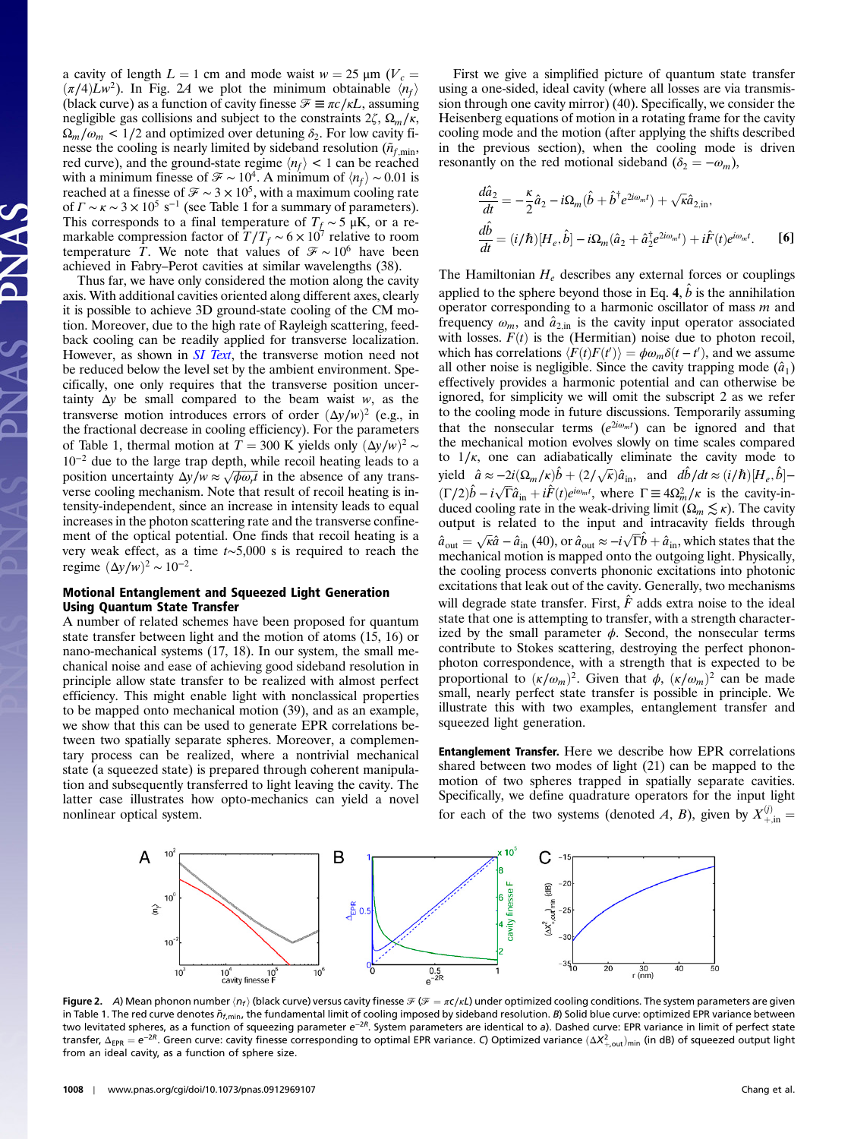a cavity of length  $L = 1$  cm and mode waist  $w = 25 \mu m$  ( $V_c =$  $(\pi/4)Lw^2$ ). In Fig. 2A we plot the minimum obtainable  $\langle n_f \rangle$ (black curve) as a function of cavity finesse  $\mathcal{F} \equiv \pi c / \kappa L$ , assuming negligible gas collisions and subject to the constraints  $2\zeta$ ,  $\Omega_m/\kappa$ ,  $\Omega_m/\omega_m$  < 1/2 and optimized over detuning  $\delta_2$ . For low cavity finesse the cooling is nearly limited by sideband resolution ( $\tilde{n}_{f,min}$ , red curve), and the ground-state regime  $\langle n_f \rangle$  < 1 can be reached with a minimum finesse of  $\mathcal{F} \sim 10^4$ . A minimum of  $\langle n_f \rangle \sim 0.01$  is reached at a finesse of  $\mathcal{F} \sim 3 \times 10^5$ , with a maximum cooling rate of  $\Gamma \sim \kappa \sim 3 \times 10^5 \text{ s}^{-1}$  (see Table 1 for a summary of parameters). This corresponds to a final temperature of  $T_f \sim 5 \mu K$ , or a remarkable compression factor of  $T/T_f \sim 6 \times 10^7$  relative to room temperature T. We note that values of  $\mathcal{F} \sim 10^6$  have been achieved in Fabry–Perot cavities at similar wavelengths (38).

Thus far, we have only considered the motion along the cavity axis. With additional cavities oriented along different axes, clearly it is possible to achieve 3D ground-state cooling of the CM motion. Moreover, due to the high rate of Rayleigh scattering, feedback cooling can be readily applied for transverse localization. However, as shown in *[SI Text](http://www.pnas.org/cgi/data/0912969107/DCSupplemental/Supplemental_PDF#nameddest=STXT)*, the transverse motion need not be reduced below the level set by the ambient environment. Specifically, one only requires that the transverse position uncertainty  $\Delta y$  be small compared to the beam waist w, as the transverse motion introduces errors of order  $(\Delta y/w)^2$  (e.g., in the fractional decrease in cooling efficiency). For the parameters of Table 1, thermal motion at  $T = 300$  K yields only  $(\Delta y/w)^2$  ~ 10<sup>−</sup><sup>2</sup> due to the large trap depth, while recoil heating leads to a position uncertainty  $\Delta y/w \approx \sqrt{\phi \omega_r t}$  in the absence of any transverse cooling mechanism. Note that result of recoil heating is intensity-independent, since an increase in intensity leads to equal increases in the photon scattering rate and the transverse confinement of the optical potential. One finds that recoil heating is a very weak effect, as a time t∼5,000 s is required to reach the regime  $(\Delta y/w)^2 \sim 10^{-2}$ .

## Motional Entanglement and Squeezed Light Generation Using Quantum State Transfer

A number of related schemes have been proposed for quantum state transfer between light and the motion of atoms (15, 16) or nano-mechanical systems (17, 18). In our system, the small mechanical noise and ease of achieving good sideband resolution in principle allow state transfer to be realized with almost perfect efficiency. This might enable light with nonclassical properties to be mapped onto mechanical motion (39), and as an example, we show that this can be used to generate EPR correlations between two spatially separate spheres. Moreover, a complementary process can be realized, where a nontrivial mechanical state (a squeezed state) is prepared through coherent manipulation and subsequently transferred to light leaving the cavity. The latter case illustrates how opto-mechanics can yield a novel nonlinear optical system.

First we give a simplified picture of quantum state transfer using a one-sided, ideal cavity (where all losses are via transmission through one cavity mirror) (40). Specifically, we consider the Heisenberg equations of motion in a rotating frame for the cavity cooling mode and the motion (after applying the shifts described in the previous section), when the cooling mode is driven resonantly on the red motional sideband ( $\delta_2 = -\omega_m$ ),

$$
\frac{d\hat{a}_2}{dt} = -\frac{\kappa}{2}\hat{a}_2 - i\Omega_m(\hat{b} + \hat{b}^\dagger e^{2i\omega_m t}) + \sqrt{\kappa}\hat{a}_{2,\text{in}},
$$
  

$$
\frac{d\hat{b}}{dt} = (i/\hbar)[H_e, \hat{b}] - i\Omega_m(\hat{a}_2 + \hat{a}_2^\dagger e^{2i\omega_m t}) + i\hat{F}(t)e^{i\omega_m t}.
$$
 [6]

The Hamiltonian  $H_e$  describes any external forces or couplings applied to the sphere beyond those in Eq. 4,  $\hat{b}$  is the annihilation operator corresponding to a harmonic oscillator of mass  $m$  and frequency  $\omega_m$ , and  $\hat{a}_{2,in}$  is the cavity input operator associated with losses.  $F(t)$  is the (Hermitian) noise due to photon recoil, which has correlations  $\langle F(t)F(t') \rangle = \phi \omega_m \delta(t - t')$ , and we assume all other noise is negligible. Since the cavity trapping mode  $(\hat{a}_1)$ effectively provides a harmonic potential and can otherwise be ignored, for simplicity we will omit the subscript 2 as we refer to the cooling mode in future discussions. Temporarily assuming that the nonsecular terms  $(e^{2i\omega_m t})$  can be ignored and that the mechanical motion evolves slowly on time scales compared to  $1/\kappa$ , one can adiabatically eliminate the cavity mode to yield  $\hat{a} \approx -2i(\Omega_m/\kappa)\hat{b} + (2/\sqrt{\kappa})\hat{a}_{\text{in}}$ , and  $d\hat{b}/dt \approx (i/\hbar)[H_e, \hat{b}]$  $(\Gamma/2)\hat{b} - i\sqrt{\Gamma}\hat{a}_{\text{in}} + i\hat{F}(t)e^{i\omega_m t}$ , where  $\Gamma \equiv 4\Omega_m^2/\kappa$  is the cavity-induced cooling rate in the weak-driving limit ( $\Omega_m \lesssim \kappa$ ). The cavity output is related to the input and intracavity fields through  $\hat{a}_{\text{out}} = \sqrt{\kappa} \hat{a} - \hat{a}_{\text{in}}$  (40), or  $\hat{a}_{\text{out}} \approx -i\sqrt{\Gamma} \hat{b} + \hat{a}_{\text{in}}$ , which states that the mechanical motion is mapped onto the outgoing light. Physically, the cooling process converts phononic excitations into photonic excitations that leak out of the cavity. Generally, two mechanisms will degrade state transfer. First,  $\ddot{F}$  adds extra noise to the ideal state that one is attempting to transfer, with a strength characterized by the small parameter  $\phi$ . Second, the nonsecular terms contribute to Stokes scattering, destroying the perfect phononphoton correspondence, with a strength that is expected to be proportional to  $(\kappa/\omega_m)^2$ . Given that  $\phi$ ,  $(\kappa/\omega_m)^2$  can be made small, nearly perfect state transfer is possible in principle. We illustrate this with two examples, entanglement transfer and squeezed light generation.

Entanglement Transfer. Here we describe how EPR correlations shared between two modes of light (21) can be mapped to the motion of two spheres trapped in spatially separate cavities. Specifically, we define quadrature operators for the input light for each of the two systems (denoted A, B), given by  $X_{+,\text{in}}^{(j)} =$ 



Figure 2. A) Mean phonon number  $\langle n_f \rangle$  (black curve) versus cavity finesse  $\mathcal{F}(\mathcal{F} = \pi c/kL)$  under optimized cooling conditions. The system parameters are given in Table 1. The red curve denotes  $\tilde{n}_{f,min}$ , the fundamental limit of cooling imposed by sideband resolution. B) Solid blue curve: optimized EPR variance between two levitated spheres, as a function of squeezing parameter e<sup>−2R</sup>. System parameters are identical to a). Dashed curve: EPR variance in limit of perfect state transfer,  $\Delta_{\sf{EPR}} = e^{-2R}$ . Green curve: cavity finesse corresponding to optimal EPR variance. C) Optimized variance  $(\Delta X_{+,\sf out}^2)_{\sf min}$  (in dB) of squeezed output light from an ideal cavity, as a function of sphere size.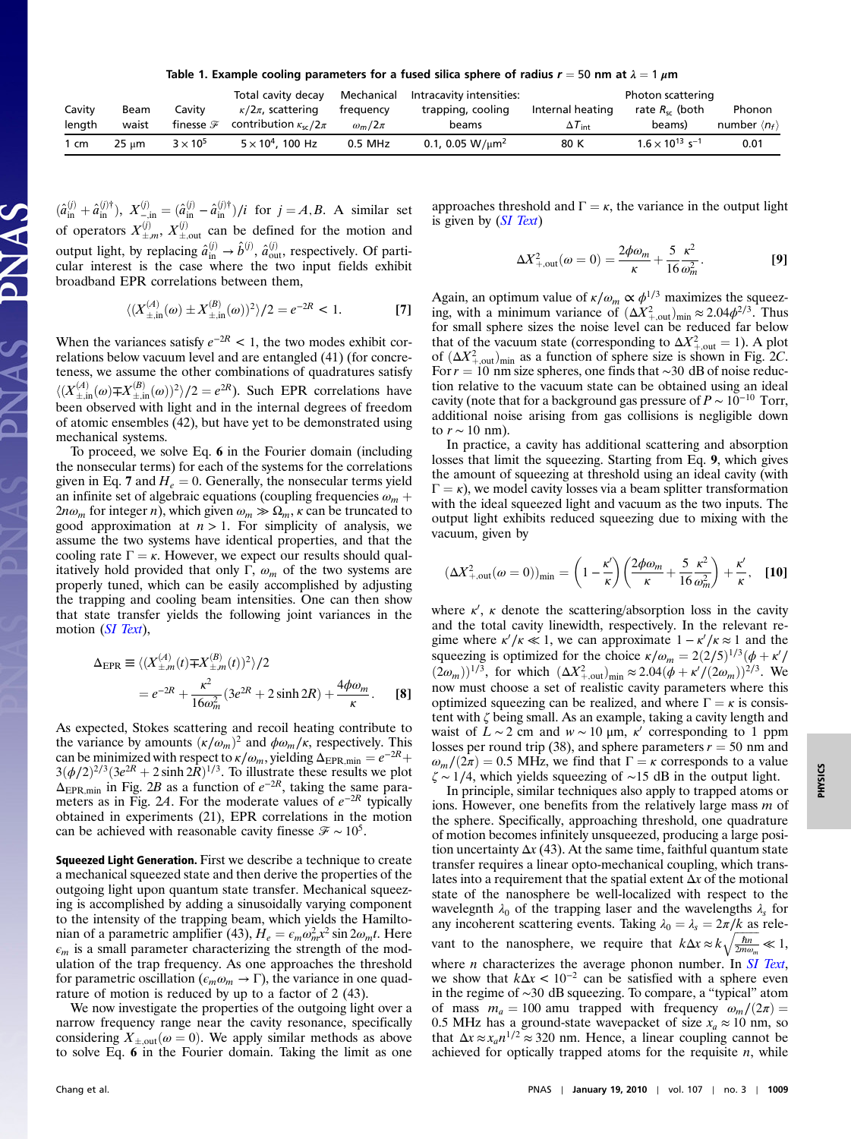Table 1. Example cooling parameters for a fused silica sphere of radius  $r = 50$  nm at  $\lambda = 1 \ \mu m$ 

|                |             |                      | Total cavity decay              | Mechanical      | Intracavity intensities:          | Photon scattering       |                                      |                              |
|----------------|-------------|----------------------|---------------------------------|-----------------|-----------------------------------|-------------------------|--------------------------------------|------------------------------|
| Cavity         | <b>Beam</b> | Cavitv               | $\kappa/2\pi$ , scattering      | frequency       | trapping, cooling                 | Internal heating        | rate $R_{sc}$ (both                  | Phonon                       |
| length         | waist       | finesse $\mathcal F$ | contribution $\kappa_{sc}/2\pi$ | $\omega_m/2\pi$ | beams                             | $\Delta T_{\text{int}}$ | beams)                               | number $\langle n_f \rangle$ |
| $1 \text{ cm}$ | 25 um       | $3 \times 10^5$      | $5 \times 10^4$ , 100 Hz        | 0.5 MHz         | 0.1, 0.05 W/ $\mu$ m <sup>2</sup> | 80 K                    | $1.6 \times 10^{13}$ s <sup>-1</sup> | 0.01                         |

 $(\hat{a}_{in}^{(j)} + \hat{a}_{in}^{(j)\dagger}), X_{-in}^{(j)} = (\hat{a}_{in}^{(j)} - \hat{a}_{in}^{(j)\dagger})/i$  for  $j = A, B$ . A similar set of operators  $X_{\pm,m}^{(j)}$ ,  $X_{\pm, \text{out}}^{(j)}$  can be defined for the motion and output light, by replacing  $\hat{a}^{(j)}_{in} \rightarrow \hat{b}^{(j)}$ ,  $\hat{a}^{(j)}_{out}$ , respectively. Of particular interest is the case where the two input fields exhibit broadband EPR correlations between them,

$$
\langle (X_{\pm,\text{in}}^{(A)}(\omega) \pm X_{\pm,\text{in}}^{(B)}(\omega) \rangle^2 \rangle / 2 = e^{-2R} < 1. \tag{7}
$$

When the variances satisfy  $e^{-2R}$  < 1, the two modes exhibit correlations below vacuum level and are entangled (41) (for concreteness, we assume the other combinations of quadratures satisfy  $\langle (X_{\pm,in}^{(A)}(\omega)\mp X_{\pm,in}^{(B)}(\omega))^2 \rangle /2 = e^{2R}$ ). Such EPR correlations have been observed with light and in the internal degrees of freedom of atomic ensembles (42), but have yet to be demonstrated using mechanical systems.

To proceed, we solve Eq. 6 in the Fourier domain (including the nonsecular terms) for each of the systems for the correlations given in Eq. 7 and  $H_e = 0$ . Generally, the nonsecular terms yield an infinite set of algebraic equations (coupling frequencies  $\omega_m$  +  $2n\omega_m$  for integer n), which given  $\omega_m \gg \Omega_m$ ,  $\kappa$  can be truncated to good approximation at  $n > 1$ . For simplicity of analysis, we assume the two systems have identical properties, and that the cooling rate  $\Gamma = \kappa$ . However, we expect our results should qualitatively hold provided that only Γ,  $\omega_m$  of the two systems are properly tuned, which can be easily accomplished by adjusting the trapping and cooling beam intensities. One can then show that state transfer yields the following joint variances in the motion ([SI Text](http://www.pnas.org/cgi/data/0912969107/DCSupplemental/Supplemental_PDF#nameddest=STXT)),

$$
\Delta_{\text{EPR}} \equiv \langle (X_{\pm,m}^{(A)}(t) \mp X_{\pm,m}^{(B)}(t))^2 \rangle / 2
$$
  
=  $e^{-2R} + \frac{\kappa^2}{16\omega_m^2} (3e^{2R} + 2\sinh 2R) + \frac{4\phi\omega_m}{\kappa}$ . [8]

As expected, Stokes scattering and recoil heating contribute to the variance by amounts  $(\kappa/\omega_m)^2$  and  $\phi\omega_m/\kappa$ , respectively. This can be minimized with respect to  $\kappa/\omega_m$ , yielding  $\Delta_{\rm EPR,min} = e^{-2R} +$  $3(\phi/2)^{2/3}(3e^{2R} + 2\sinh 2R)^{1/3}$ . To illustrate these results we plot  $\Delta_{\text{EPR,min}}$  in Fig. 2B as a function of  $e^{-2R}$ , taking the same parameters as in Fig. 2A. For the moderate values of  $e^{-2R}$  typically obtained in experiments (21), EPR correlations in the motion can be achieved with reasonable cavity finesse  $\mathcal{F} \sim 10^5$ .

Squeezed Light Generation. First we describe a technique to create a mechanical squeezed state and then derive the properties of the outgoing light upon quantum state transfer. Mechanical squeezing is accomplished by adding a sinusoidally varying component to the intensity of the trapping beam, which yields the Hamiltonian of a parametric amplifier (43),  $H_e = \epsilon_m \omega_m^2 x^2 \sin 2\omega_m t$ . Here  $\epsilon_m$  is a small parameter characterizing the strength of the modulation of the trap frequency. As one approaches the threshold for parametric oscillation ( $\epsilon_m \omega_m \to \Gamma$ ), the variance in one quadrature of motion is reduced by up to a factor of 2 (43).

We now investigate the properties of the outgoing light over a narrow frequency range near the cavity resonance, specifically considering  $X_{+,out}(\omega = 0)$ . We apply similar methods as above to solve Eq. 6 in the Fourier domain. Taking the limit as one

approaches threshold and  $\Gamma = \kappa$ , the variance in the output light is given by ([SI Text](http://www.pnas.org/cgi/data/0912969107/DCSupplemental/Supplemental_PDF#nameddest=STXT))

$$
\Delta X_{+,\text{out}}^2(\omega = 0) = \frac{2\phi\omega_m}{\kappa} + \frac{5}{16} \frac{\kappa^2}{\omega_m^2}.
$$
 [9]

Again, an optimum value of  $\kappa/\omega_m \propto \phi^{1/3}$  maximizes the squeezing, with a minimum variance of  $(\Delta X_{+\text{out}}^2)_{\text{min}} \approx 2.04 \phi^{2/3}$ . Thus for small sphere sizes the noise level can be reduced far below that of the vacuum state (corresponding to  $\Delta X_{+,\text{out}}^2 = 1$ ). A plot of  $(\Delta X_{+\text{out}}^2)_{\text{min}}$  as a function of sphere size is shown in Fig. 2C. For  $r = 10$  nm size spheres, one finds that ∼30 dB of noise reduction relative to the vacuum state can be obtained using an ideal cavity (note that for a background gas pressure of  $P \sim 10^{-10}$  Torr, additional noise arising from gas collisions is negligible down to  $r \sim 10$  nm).

In practice, a cavity has additional scattering and absorption losses that limit the squeezing. Starting from Eq. 9, which gives the amount of squeezing at threshold using an ideal cavity (with  $\Gamma = \kappa$ ), we model cavity losses via a beam splitter transformation with the ideal squeezed light and vacuum as the two inputs. The output light exhibits reduced squeezing due to mixing with the vacuum, given by

$$
(\Delta X_{+,\text{out}}^2(\omega=0))_{\text{min}} = \left(1 - \frac{\kappa'}{\kappa}\right) \left(\frac{2\phi\omega_m}{\kappa} + \frac{5}{16}\frac{\kappa^2}{\omega_m^2}\right) + \frac{\kappa'}{\kappa}, \quad \text{[10]}
$$

where  $\kappa'$ ,  $\kappa$  denote the scattering/absorption loss in the cavity and the total cavity linewidth, respectively. In the relevant regime where  $\kappa'/\kappa \ll 1$ , we can approximate  $1 - \kappa'/\kappa \approx 1$  and the squeezing is optimized for the choice  $\kappa/\omega_m = 2(2/5)^{1/3}(\phi + \kappa')$  $(2\omega_m)^{1/3}$ , for which  $(\Delta X^2_{+\text{out}})_{\text{min}} \approx 2.04(\phi + \kappa'/(2\omega_m))^{2/3}$ . We now must choose a set of realistic cavity parameters where this optimized squeezing can be realized, and where  $\Gamma = \kappa$  is consistent with ζ being small. As an example, taking a cavity length and waist of  $L \sim 2$  cm and  $w \sim 10 \mu m$ , κ' corresponding to 1 ppm losses per round trip (38), and sphere parameters  $r = 50$  nm and  $\omega_m/(2\pi) = 0.5$  MHz, we find that  $\Gamma = \kappa$  corresponds to a value  $\zeta \sim 1/4$ , which yields squeezing of ~15 dB in the output light.

In principle, similar techniques also apply to trapped atoms or ions. However, one benefits from the relatively large mass m of the sphere. Specifically, approaching threshold, one quadrature of motion becomes infinitely unsqueezed, producing a large position uncertainty  $\Delta x$  (43). At the same time, faithful quantum state transfer requires a linear opto-mechanical coupling, which translates into a requirement that the spatial extent  $\Delta x$  of the motional state of the nanosphere be well-localized with respect to the wavelegnth  $\lambda_0$  of the trapping laser and the wavelengths  $\lambda_s$  for any incoherent scattering events. Taking  $\lambda_0 = \lambda_s = 2\pi/k$  as relevant to the nanosphere, we require that  $k\Delta x \approx k\sqrt{\frac{\hbar n}{2m\omega_m}} \ll 1$ , where *n* characterizes the average phonon number. In  $SI$  Text, we show that  $k\Delta x < 10^{-2}$  can be satisfied with a sphere even in the regime of ∼30 dB squeezing. To compare, a "typical" atom of mass  $m_a = 100$  amu trapped with frequency  $\omega_m/(2\pi) =$ 0.5 MHz has a ground-state wavepacket of size  $x_a \approx 10$  nm, so that  $\Delta x \approx x_a n^{1/2} \approx 320$  nm. Hence, a linear coupling cannot be achieved for optically trapped atoms for the requisite  $n$ , while